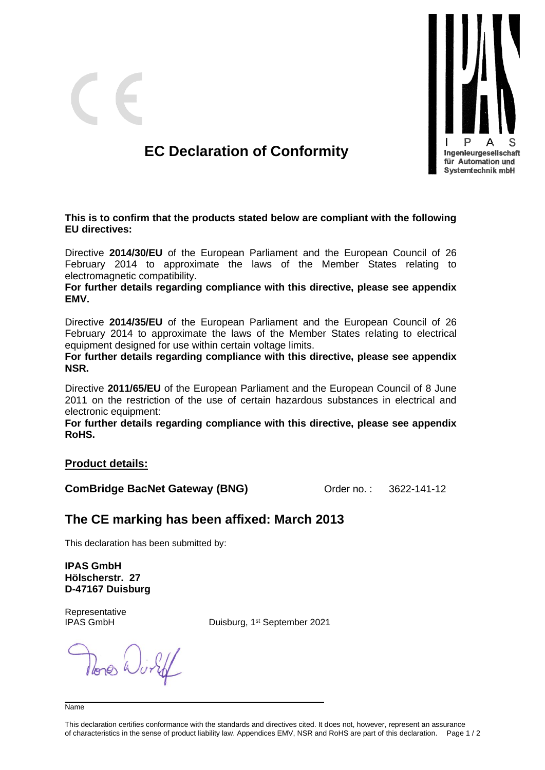

## **EC Declaration of Conformity**

**This is to confirm that the products stated below are compliant with the following EU directives:**

Directive **2014/30/EU** of the European Parliament and the European Council of 26 February 2014 to approximate the laws of the Member States relating to electromagnetic compatibility.

**For further details regarding compliance with this directive, please see appendix EMV.**

Directive **2014/35/EU** of the European Parliament and the European Council of 26 February 2014 to approximate the laws of the Member States relating to electrical equipment designed for use within certain voltage limits.

**For further details regarding compliance with this directive, please see appendix NSR.**

Directive **2011/65/EU** of the European Parliament and the European Council of 8 June 2011 on the restriction of the use of certain hazardous substances in electrical and electronic equipment:

**For further details regarding compliance with this directive, please see appendix RoHS.**

#### **Product details:**

**ComBridge BacNet Gateway (BNG) ComBridge BacNet Gateway (BNG)** 

## **The CE marking has been affixed: March 2013**

This declaration has been submitted by:

**IPAS GmbH Hölscherstr. 27 D-47167 Duisburg**

Representative IPAS GmbH

Duisburg, 1<sup>st</sup> September 2021

Name

This declaration certifies conformance with the standards and directives cited. It does not, however, represent an assurance of characteristics in the sense of product liability law. Appendices EMV, NSR and RoHS are part of this declaration. Page 1 / 2